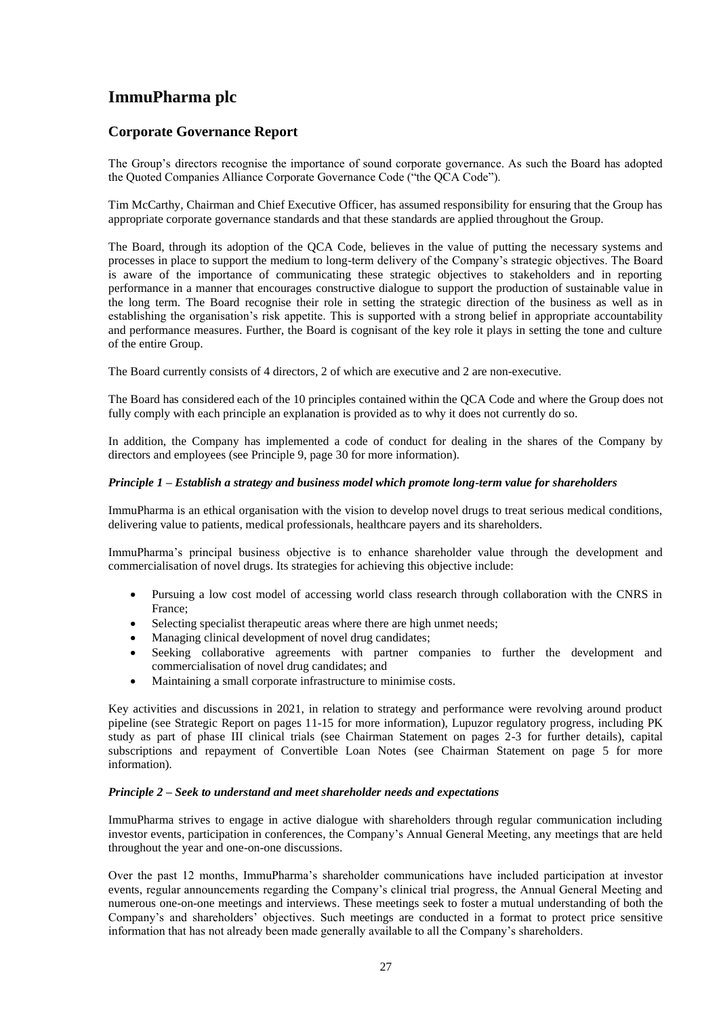## **Corporate Governance Report**

The Group's directors recognise the importance of sound corporate governance. As such the Board has adopted the Quoted Companies Alliance Corporate Governance Code ("the QCA Code").

Tim McCarthy, Chairman and Chief Executive Officer, has assumed responsibility for ensuring that the Group has appropriate corporate governance standards and that these standards are applied throughout the Group.

The Board, through its adoption of the QCA Code, believes in the value of putting the necessary systems and processes in place to support the medium to long-term delivery of the Company's strategic objectives. The Board is aware of the importance of communicating these strategic objectives to stakeholders and in reporting performance in a manner that encourages constructive dialogue to support the production of sustainable value in the long term. The Board recognise their role in setting the strategic direction of the business as well as in establishing the organisation's risk appetite. This is supported with a strong belief in appropriate accountability and performance measures. Further, the Board is cognisant of the key role it plays in setting the tone and culture of the entire Group.

The Board currently consists of 4 directors, 2 of which are executive and 2 are non-executive.

The Board has considered each of the 10 principles contained within the QCA Code and where the Group does not fully comply with each principle an explanation is provided as to why it does not currently do so.

In addition, the Company has implemented a code of conduct for dealing in the shares of the Company by directors and employees (see Principle 9, page 30 for more information).

#### *Principle 1 – Establish a strategy and business model which promote long-term value for shareholders*

ImmuPharma is an ethical organisation with the vision to develop novel drugs to treat serious medical conditions, delivering value to patients, medical professionals, healthcare payers and its shareholders.

ImmuPharma's principal business objective is to enhance shareholder value through the development and commercialisation of novel drugs. Its strategies for achieving this objective include:

- Pursuing a low cost model of accessing world class research through collaboration with the CNRS in France;
- Selecting specialist therapeutic areas where there are high unmet needs;
- Managing clinical development of novel drug candidates;
- Seeking collaborative agreements with partner companies to further the development and commercialisation of novel drug candidates; and
- Maintaining a small corporate infrastructure to minimise costs.

Key activities and discussions in 2021, in relation to strategy and performance were revolving around product pipeline (see Strategic Report on pages 11-15 for more information), Lupuzor regulatory progress, including PK study as part of phase III clinical trials (see Chairman Statement on pages 2-3 for further details), capital subscriptions and repayment of Convertible Loan Notes (see Chairman Statement on page 5 for more information).

#### *Principle 2 – Seek to understand and meet shareholder needs and expectations*

ImmuPharma strives to engage in active dialogue with shareholders through regular communication including investor events, participation in conferences, the Company's Annual General Meeting, any meetings that are held throughout the year and one-on-one discussions.

Over the past 12 months, ImmuPharma's shareholder communications have included participation at investor events, regular announcements regarding the Company's clinical trial progress, the Annual General Meeting and numerous one-on-one meetings and interviews. These meetings seek to foster a mutual understanding of both the Company's and shareholders' objectives. Such meetings are conducted in a format to protect price sensitive information that has not already been made generally available to all the Company's shareholders.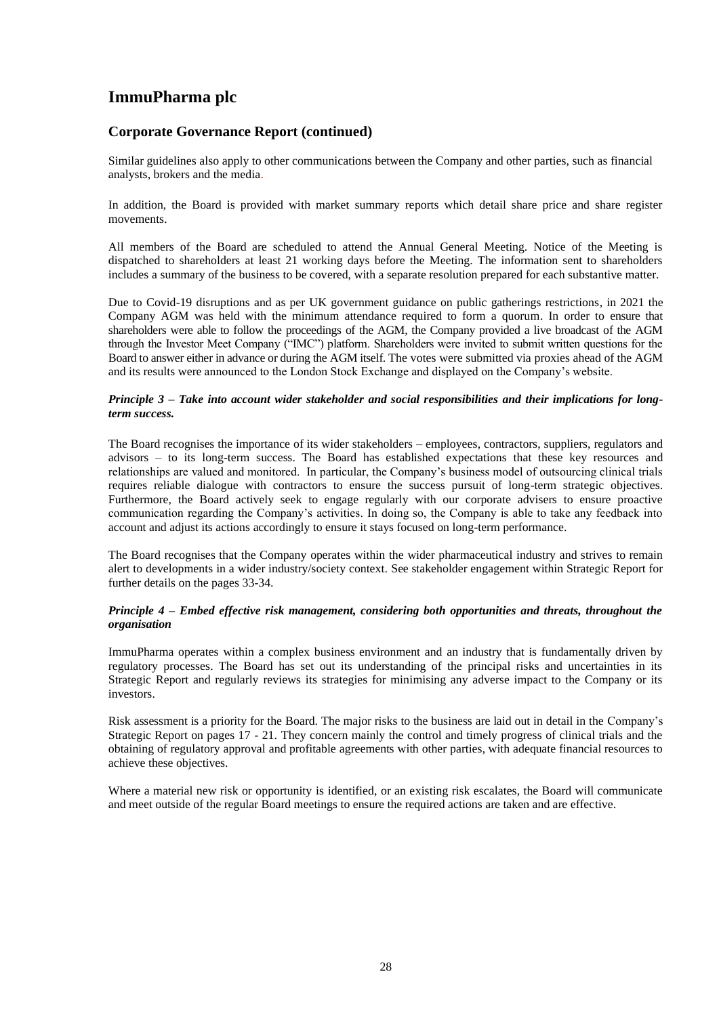## **Corporate Governance Report (continued)**

Similar guidelines also apply to other communications between the Company and other parties, such as financial analysts, brokers and the media.

In addition, the Board is provided with market summary reports which detail share price and share register movements.

All members of the Board are scheduled to attend the Annual General Meeting. Notice of the Meeting is dispatched to shareholders at least 21 working days before the Meeting. The information sent to shareholders includes a summary of the business to be covered, with a separate resolution prepared for each substantive matter.

Due to Covid-19 disruptions and as per UK government guidance on public gatherings restrictions, in 2021 the Company AGM was held with the minimum attendance required to form a quorum. In order to ensure that shareholders were able to follow the proceedings of the AGM, the Company provided a live broadcast of the AGM through the Investor Meet Company ("IMC") platform. Shareholders were invited to submit written questions for the Board to answer either in advance or during the AGM itself. The votes were submitted via proxies ahead of the AGM and its results were announced to the London Stock Exchange and displayed on the Company's website.

#### *Principle 3 – Take into account wider stakeholder and social responsibilities and their implications for longterm success.*

The Board recognises the importance of its wider stakeholders – employees, contractors, suppliers, regulators and advisors – to its long-term success. The Board has established expectations that these key resources and relationships are valued and monitored. In particular, the Company's business model of outsourcing clinical trials requires reliable dialogue with contractors to ensure the success pursuit of long-term strategic objectives. Furthermore, the Board actively seek to engage regularly with our corporate advisers to ensure proactive communication regarding the Company's activities. In doing so, the Company is able to take any feedback into account and adjust its actions accordingly to ensure it stays focused on long-term performance.

The Board recognises that the Company operates within the wider pharmaceutical industry and strives to remain alert to developments in a wider industry/society context. See stakeholder engagement within Strategic Report for further details on the pages 33-34.

### *Principle 4 – Embed effective risk management, considering both opportunities and threats, throughout the organisation*

ImmuPharma operates within a complex business environment and an industry that is fundamentally driven by regulatory processes. The Board has set out its understanding of the principal risks and uncertainties in its Strategic Report and regularly reviews its strategies for minimising any adverse impact to the Company or its investors.

Risk assessment is a priority for the Board. The major risks to the business are laid out in detail in the Company's Strategic Report on pages 17 - 21. They concern mainly the control and timely progress of clinical trials and the obtaining of regulatory approval and profitable agreements with other parties, with adequate financial resources to achieve these objectives.

Where a material new risk or opportunity is identified, or an existing risk escalates, the Board will communicate and meet outside of the regular Board meetings to ensure the required actions are taken and are effective.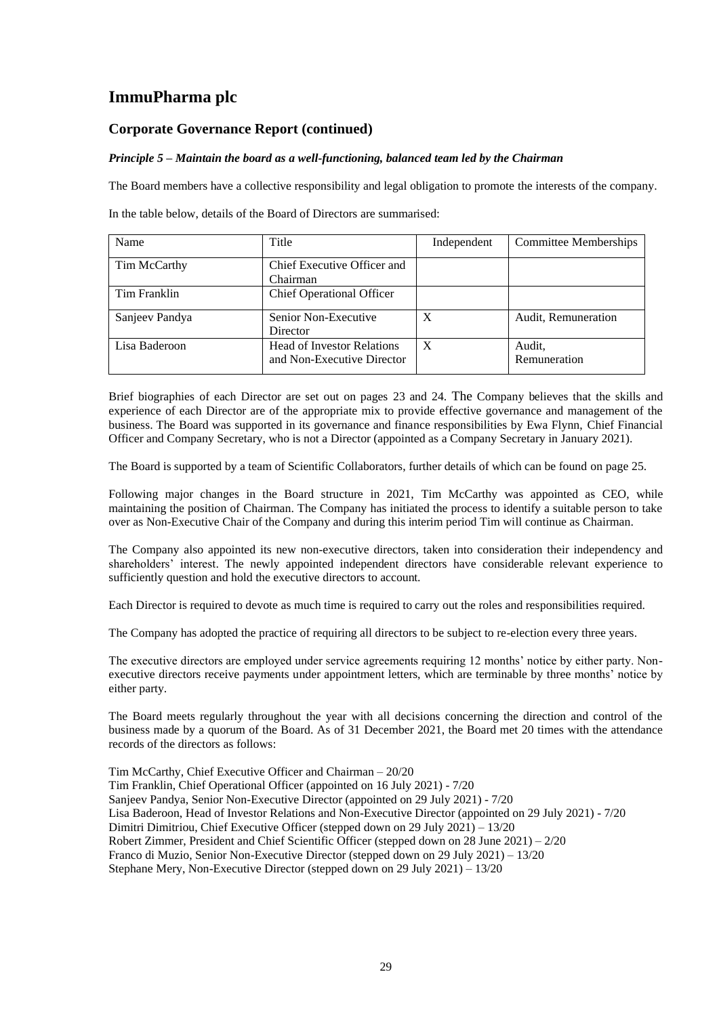## **Corporate Governance Report (continued)**

### *Principle 5 – Maintain the board as a well-functioning, balanced team led by the Chairman*

The Board members have a collective responsibility and legal obligation to promote the interests of the company.

In the table below, details of the Board of Directors are summarised:

| Name           | Title                                                           | Independent  | <b>Committee Memberships</b> |
|----------------|-----------------------------------------------------------------|--------------|------------------------------|
| Tim McCarthy   | Chief Executive Officer and<br>Chairman                         |              |                              |
| Tim Franklin   | <b>Chief Operational Officer</b>                                |              |                              |
| Sanjeev Pandya | Senior Non-Executive<br>Director                                | X            | Audit, Remuneration          |
| Lisa Baderoon  | <b>Head of Investor Relations</b><br>and Non-Executive Director | $\mathbf{X}$ | Audit,<br>Remuneration       |

Brief biographies of each Director are set out on pages 23 and 24. The Company believes that the skills and experience of each Director are of the appropriate mix to provide effective governance and management of the business. The Board was supported in its governance and finance responsibilities by Ewa Flynn, Chief Financial Officer and Company Secretary, who is not a Director (appointed as a Company Secretary in January 2021).

The Board is supported by a team of Scientific Collaborators, further details of which can be found on page 25.

Following major changes in the Board structure in 2021, Tim McCarthy was appointed as CEO, while maintaining the position of Chairman. The Company has initiated the process to identify a suitable person to take over as Non-Executive Chair of the Company and during this interim period Tim will continue as Chairman.

The Company also appointed its new non-executive directors, taken into consideration their independency and shareholders' interest. The newly appointed independent directors have considerable relevant experience to sufficiently question and hold the executive directors to account.

Each Director is required to devote as much time is required to carry out the roles and responsibilities required.

The Company has adopted the practice of requiring all directors to be subject to re-election every three years.

The executive directors are employed under service agreements requiring 12 months' notice by either party. Nonexecutive directors receive payments under appointment letters, which are terminable by three months' notice by either party.

The Board meets regularly throughout the year with all decisions concerning the direction and control of the business made by a quorum of the Board. As of 31 December 2021, the Board met 20 times with the attendance records of the directors as follows:

Tim McCarthy, Chief Executive Officer and Chairman – 20/20 Tim Franklin, Chief Operational Officer (appointed on 16 July 2021) - 7/20 Sanjeev Pandya, Senior Non-Executive Director (appointed on 29 July 2021) - 7/20 Lisa Baderoon, Head of Investor Relations and Non-Executive Director (appointed on 29 July 2021) - 7/20 Dimitri Dimitriou, Chief Executive Officer (stepped down on 29 July 2021) – 13/20 Robert Zimmer, President and Chief Scientific Officer (stepped down on 28 June 2021) – 2/20 Franco di Muzio, Senior Non-Executive Director (stepped down on 29 July 2021) – 13/20 Stephane Mery, Non-Executive Director (stepped down on 29 July 2021) – 13/20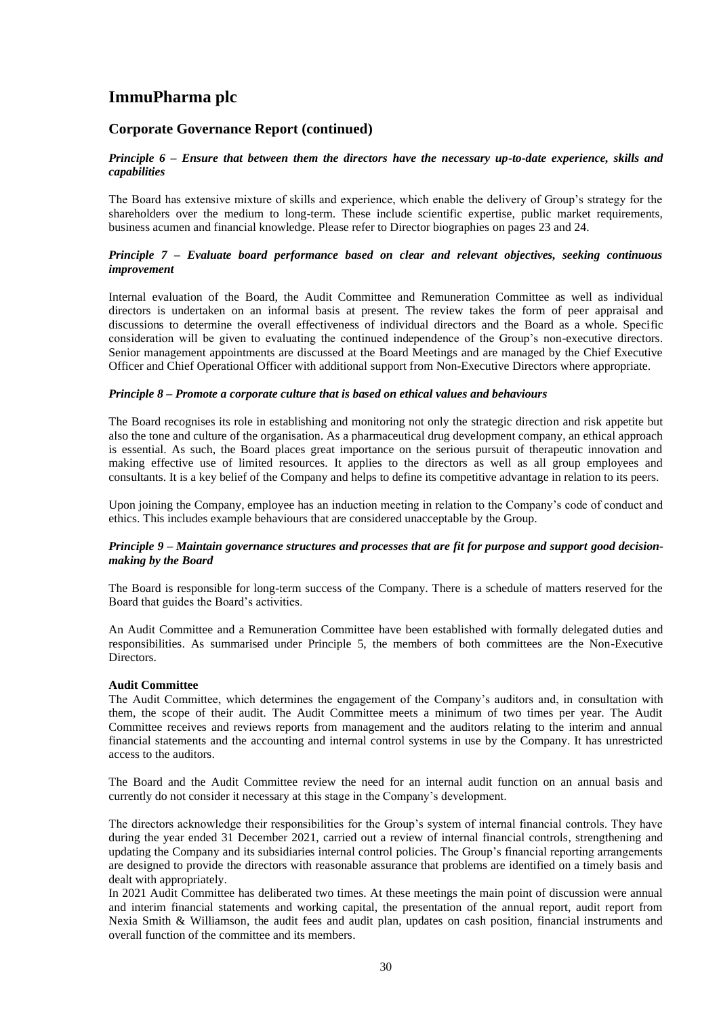## **Corporate Governance Report (continued)**

### *Principle 6 – Ensure that between them the directors have the necessary up-to-date experience, skills and capabilities*

The Board has extensive mixture of skills and experience, which enable the delivery of Group's strategy for the shareholders over the medium to long-term. These include scientific expertise, public market requirements, business acumen and financial knowledge. Please refer to Director biographies on pages 23 and 24.

### *Principle 7 – Evaluate board performance based on clear and relevant objectives, seeking continuous improvement*

Internal evaluation of the Board, the Audit Committee and Remuneration Committee as well as individual directors is undertaken on an informal basis at present. The review takes the form of peer appraisal and discussions to determine the overall effectiveness of individual directors and the Board as a whole. Specific consideration will be given to evaluating the continued independence of the Group's non-executive directors. Senior management appointments are discussed at the Board Meetings and are managed by the Chief Executive Officer and Chief Operational Officer with additional support from Non-Executive Directors where appropriate.

### *Principle 8 – Promote a corporate culture that is based on ethical values and behaviours*

The Board recognises its role in establishing and monitoring not only the strategic direction and risk appetite but also the tone and culture of the organisation. As a pharmaceutical drug development company, an ethical approach is essential. As such, the Board places great importance on the serious pursuit of therapeutic innovation and making effective use of limited resources. It applies to the directors as well as all group employees and consultants. It is a key belief of the Company and helps to define its competitive advantage in relation to its peers.

Upon joining the Company, employee has an induction meeting in relation to the Company's code of conduct and ethics. This includes example behaviours that are considered unacceptable by the Group.

### *Principle 9 – Maintain governance structures and processes that are fit for purpose and support good decisionmaking by the Board*

The Board is responsible for long-term success of the Company. There is a schedule of matters reserved for the Board that guides the Board's activities.

An Audit Committee and a Remuneration Committee have been established with formally delegated duties and responsibilities. As summarised under Principle 5, the members of both committees are the Non-Executive Directors.

### **Audit Committee**

The Audit Committee, which determines the engagement of the Company's auditors and, in consultation with them, the scope of their audit. The Audit Committee meets a minimum of two times per year. The Audit Committee receives and reviews reports from management and the auditors relating to the interim and annual financial statements and the accounting and internal control systems in use by the Company. It has unrestricted access to the auditors.

The Board and the Audit Committee review the need for an internal audit function on an annual basis and currently do not consider it necessary at this stage in the Company's development.

The directors acknowledge their responsibilities for the Group's system of internal financial controls. They have during the year ended 31 December 2021, carried out a review of internal financial controls, strengthening and updating the Company and its subsidiaries internal control policies. The Group's financial reporting arrangements are designed to provide the directors with reasonable assurance that problems are identified on a timely basis and dealt with appropriately.

In 2021 Audit Committee has deliberated two times. At these meetings the main point of discussion were annual and interim financial statements and working capital, the presentation of the annual report, audit report from Nexia Smith & Williamson, the audit fees and audit plan, updates on cash position, financial instruments and overall function of the committee and its members.